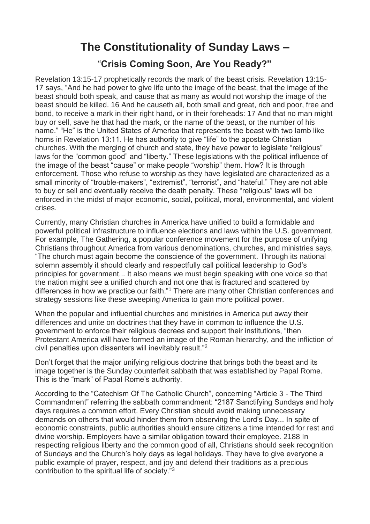## **The Constitutionality of Sunday Laws –**

## "**Crisis Coming Soon, Are You Ready?"**

Revelation 13:15-17 prophetically records the mark of the beast crisis. Revelation 13:15- 17 says, "And he had power to give life unto the image of the beast, that the image of the beast should both speak, and cause that as many as would not worship the image of the beast should be killed. 16 And he causeth all, both small and great, rich and poor, free and bond, to receive a mark in their right hand, or in their foreheads: 17 And that no man might buy or sell, save he that had the mark, or the name of the beast, or the number of his name." "He" is the United States of America that represents the beast with two lamb like horns in Revelation 13:11. He has authority to give "life" to the apostate Christian churches. With the merging of church and state, they have power to legislate "religious" laws for the "common good" and "liberty." These legislations with the political influence of the image of the beast "cause" or make people "worship" them. How? It is through enforcement. Those who refuse to worship as they have legislated are characterized as a small minority of "trouble-makers", "extremist", "terrorist", and "hateful." They are not able to buy or sell and eventually receive the death penalty. These "religious" laws will be enforced in the midst of major economic, social, political, moral, environmental, and violent crises.

Currently, many Christian churches in America have unified to build a formidable and powerful political infrastructure to influence elections and laws within the U.S. government. For example, The Gathering, a popular conference movement for the purpose of unifying Christians throughout America from various denominations, churches, and ministries says, "The church must again become the conscience of the government. Through its national solemn assembly it should clearly and respectfully call political leadership to God's principles for government... It also means we must begin speaking with one voice so that the nation might see a unified church and not one that is fractured and scattered by differences in how we practice our faith."<sup>1</sup> There are many other Christian conferences and strategy sessions like these sweeping America to gain more political power.

When the popular and influential churches and ministries in America put away their differences and unite on doctrines that they have in common to influence the U.S. government to enforce their religious decrees and support their institutions, "then Protestant America will have formed an image of the Roman hierarchy, and the infliction of civil penalties upon dissenters will inevitably result."<sup>2</sup>

Don't forget that the major unifying religious doctrine that brings both the beast and its image together is the Sunday counterfeit sabbath that was established by Papal Rome. This is the "mark" of Papal Rome's authority.

According to the "Catechism Of The Catholic Church", concerning "Article 3 - The Third Commandment" referring the sabbath commandment: "2187 Sanctifying Sundays and holy days requires a common effort. Every Christian should avoid making unnecessary demands on others that would hinder them from observing the Lord's Day... In spite of economic constraints, public authorities should ensure citizens a time intended for rest and divine worship. Employers have a similar obligation toward their employee. 2188 In respecting religious liberty and the common good of all, Christians should seek recognition of Sundays and the Church's holy days as legal holidays. They have to give everyone a public example of prayer, respect, and joy and defend their traditions as a precious contribution to the spiritual life of society."3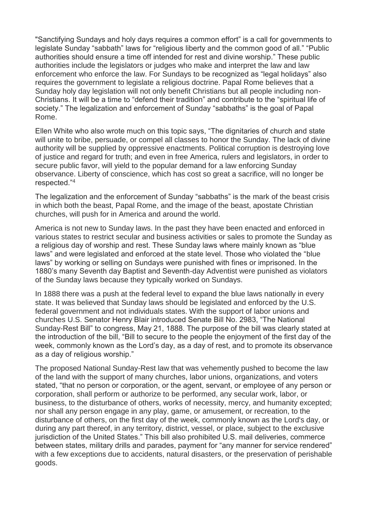"Sanctifying Sundays and holy days requires a common effort" is a call for governments to legislate Sunday "sabbath" laws for "religious liberty and the common good of all." "Public authorities should ensure a time off intended for rest and divine worship." These public authorities include the legislators or judges who make and interpret the law and law enforcement who enforce the law. For Sundays to be recognized as "legal holidays" also requires the government to legislate a religious doctrine. Papal Rome believes that a Sunday holy day legislation will not only benefit Christians but all people including non-Christians. It will be a time to "defend their tradition" and contribute to the "spiritual life of society." The legalization and enforcement of Sunday "sabbaths" is the goal of Papal Rome.

Ellen White who also wrote much on this topic says, "The dignitaries of church and state will unite to bribe, persuade, or compel all classes to honor the Sunday. The lack of divine authority will be supplied by oppressive enactments. Political corruption is destroying love of justice and regard for truth; and even in free America, rulers and legislators, in order to secure public favor, will yield to the popular demand for a law enforcing Sunday observance. Liberty of conscience, which has cost so great a sacrifice, will no longer be respected."<sup>4</sup>

The legalization and the enforcement of Sunday "sabbaths" is the mark of the beast crisis in which both the beast, Papal Rome, and the image of the beast, apostate Christian churches, will push for in America and around the world.

America is not new to Sunday laws. In the past they have been enacted and enforced in various states to restrict secular and business activities or sales to promote the Sunday as a religious day of worship and rest. These Sunday laws where mainly known as "blue laws" and were legislated and enforced at the state level. Those who violated the "blue laws" by working or selling on Sundays were punished with fines or imprisoned. In the 1880's many Seventh day Baptist and Seventh-day Adventist were punished as violators of the Sunday laws because they typically worked on Sundays.

In 1888 there was a push at the federal level to expand the blue laws nationally in every state. It was believed that Sunday laws should be legislated and enforced by the U.S. federal government and not individuals states. With the support of labor unions and churches U.S. Senator Henry Blair introduced Senate Bill No. 2983, "The National Sunday-Rest Bill" to congress, May 21, 1888. The purpose of the bill was clearly stated at the introduction of the bill, "Bill to secure to the people the enjoyment of the first day of the week, commonly known as the Lord's day, as a day of rest, and to promote its observance as a day of religious worship."

The proposed National Sunday-Rest law that was vehemently pushed to become the law of the land with the support of many churches, labor unions, organizations, and voters stated, "that no person or corporation, or the agent, servant, or employee of any person or corporation, shall perform or authorize to be performed, any secular work, labor, or business, to the disturbance of others, works of necessity, mercy, and humanity excepted; nor shall any person engage in any play, game, or amusement, or recreation, to the disturbance of others, on the first day of the week, commonly known as the Lord's day, or during any part thereof, in any territory, district, vessel, or place, subject to the exclusive jurisdiction of the United States." This bill also prohibited U.S. mail deliveries, commerce between states, military drills and parades, payment for "any manner for service rendered" with a few exceptions due to accidents, natural disasters, or the preservation of perishable goods.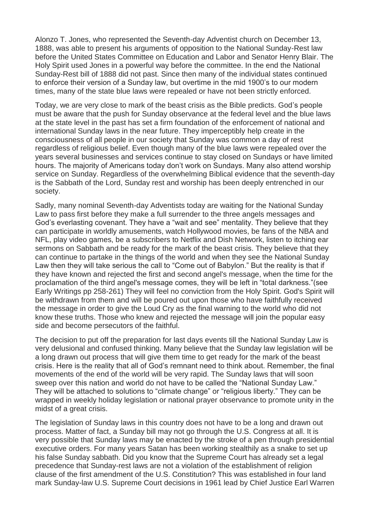Alonzo T. Jones, who represented the Seventh-day Adventist church on December 13, 1888, was able to present his arguments of opposition to the National Sunday-Rest law before the United States Committee on Education and Labor and Senator Henry Blair. The Holy Spirit used Jones in a powerful way before the committee. In the end the National Sunday-Rest bill of 1888 did not past. Since then many of the individual states continued to enforce their version of a Sunday law, but overtime in the mid 1900's to our modern times, many of the state blue laws were repealed or have not been strictly enforced.

Today, we are very close to mark of the beast crisis as the Bible predicts. God's people must be aware that the push for Sunday observance at the federal level and the blue laws at the state level in the past has set a firm foundation of the enforcement of national and international Sunday laws in the near future. They imperceptibly help create in the consciousness of all people in our society that Sunday was common a day of rest regardless of religious belief. Even though many of the blue laws were repealed over the years several businesses and services continue to stay closed on Sundays or have limited hours. The majority of Americans today don't work on Sundays. Many also attend worship service on Sunday. Regardless of the overwhelming Biblical evidence that the seventh-day is the Sabbath of the Lord, Sunday rest and worship has been deeply entrenched in our society.

Sadly, many nominal Seventh-day Adventists today are waiting for the National Sunday Law to pass first before they make a full surrender to the three angels messages and God's everlasting covenant. They have a "wait and see" mentality. They believe that they can participate in worldly amusements, watch Hollywood movies, be fans of the NBA and NFL, play video games, be a subscribers to Netflix and Dish Network, listen to itching ear sermons on Sabbath and be ready for the mark of the beast crisis. They believe that they can continue to partake in the things of the world and when they see the National Sunday Law then they will take serious the call to "Come out of Babylon." But the reality is that if they have known and rejected the first and second angel's message, when the time for the proclamation of the third angel's message comes, they will be left in "total darkness."(see Early Writings pp 258-261) They will feel no conviction from the Holy Spirit. God's Spirit will be withdrawn from them and will be poured out upon those who have faithfully received the message in order to give the Loud Cry as the final warning to the world who did not know these truths. Those who knew and rejected the message will join the popular easy side and become persecutors of the faithful.

The decision to put off the preparation for last days events till the National Sunday Law is very delusional and confused thinking. Many believe that the Sunday law legislation will be a long drawn out process that will give them time to get ready for the mark of the beast crisis. Here is the reality that all of God's remnant need to think about. Remember, the final movements of the end of the world will be very rapid. The Sunday laws that will soon sweep over this nation and world do not have to be called the "National Sunday Law." They will be attached to solutions to "climate change" or "religious liberty." They can be wrapped in weekly holiday legislation or national prayer observance to promote unity in the midst of a great crisis.

The legislation of Sunday laws in this country does not have to be a long and drawn out process. Matter of fact, a Sunday bill may not go through the U.S. Congress at all. It is very possible that Sunday laws may be enacted by the stroke of a pen through presidential executive orders. For many years Satan has been working stealthily as a snake to set up his false Sunday sabbath. Did you know that the Supreme Court has already set a legal precedence that Sunday-rest laws are not a violation of the establishment of religion clause of the first amendment of the U.S. Constitution? This was established in four land mark Sunday-law U.S. Supreme Court decisions in 1961 lead by Chief Justice Earl Warren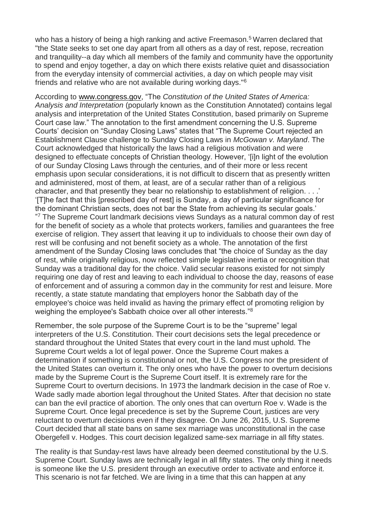who has a history of being a high ranking and active Freemason.<sup>5</sup> Warren declared that "the State seeks to set one day apart from all others as a day of rest, repose, recreation and tranquility--a day which all members of the family and community have the opportunity to spend and enjoy together, a day on which there exists relative quiet and disassociation from the everyday intensity of commercial activities, a day on which people may visit friends and relative who are not available during working days."<sup>6</sup>

According to www.congress.gov, "The *Constitution of the United States of America: Analysis and Interpretation* (popularly known as the Constitution Annotated) contains legal analysis and interpretation of the United States Constitution, based primarily on Supreme Court case law." The annotation to the first amendment concerning the U.S. Supreme Courts' decision on "Sunday Closing Laws" states that "The Supreme Court rejected an Establishment Clause challenge to Sunday Closing Laws in *McGowan v. Maryland*. The Court acknowledged that historically the laws had a religious motivation and were designed to effectuate concepts of Christian theology. However, '[i]n light of the evolution of our Sunday Closing Laws through the centuries, and of their more or less recent emphasis upon secular considerations, it is not difficult to discern that as presently written and administered, most of them, at least, are of a secular rather than of a religious character, and that presently they bear no relationship to establishment of religion. . . .' '[T]he fact that this [prescribed day of rest] is Sunday, a day of particular significance for the dominant Christian sects, does not bar the State from achieving its secular goals.' <sup>77</sup> The Supreme Court landmark decisions views Sundays as a natural common day of rest for the benefit of society as a whole that protects workers, families and guarantees the free exercise of religion. They assert that leaving it up to individuals to choose their own day of rest will be confusing and not benefit society as a whole. The annotation of the first amendment of the Sunday Closing laws concludes that "the choice of Sunday as the day of rest, while originally religious, now reflected simple legislative inertia or recognition that Sunday was a traditional day for the choice. Valid secular reasons existed for not simply requiring one day of rest and leaving to each individual to choose the day, reasons of ease of enforcement and of assuring a common day in the community for rest and leisure. More recently, a state statute mandating that employers honor the Sabbath day of the employee's choice was held invalid as having the primary effect of promoting religion by weighing the employee's Sabbath choice over all other interests."<sup>8</sup>

Remember, the sole purpose of the Supreme Court is to be the "supreme" legal interpreters of the U.S. Constitution. Their court decisions sets the legal precedence or standard throughout the United States that every court in the land must uphold. The Supreme Court welds a lot of legal power. Once the Supreme Court makes a determination if something is constitutional or not, the U.S. Congress nor the president of the United States can overturn it. The only ones who have the power to overturn decisions made by the Supreme Court is the Supreme Court itself. It is extremely rare for the Supreme Court to overturn decisions. In 1973 the landmark decision in the case of Roe v. Wade sadly made abortion legal throughout the United States. After that decision no state can ban the evil practice of abortion. The only ones that can overturn Roe v. Wade is the Supreme Court. Once legal precedence is set by the Supreme Court, justices are very reluctant to overturn decisions even if they disagree. On June 26, 2015, U.S. Supreme Court decided that all state bans on same sex marriage was unconstitutional in the case Obergefell v. Hodges. This court decision legalized same-sex marriage in all fifty states.

The reality is that Sunday-rest laws have already been deemed constitutional by the U.S. Supreme Court. Sunday laws are technically legal in all fifty states. The only thing it needs is someone like the U.S. president through an executive order to activate and enforce it. This scenario is not far fetched. We are living in a time that this can happen at any